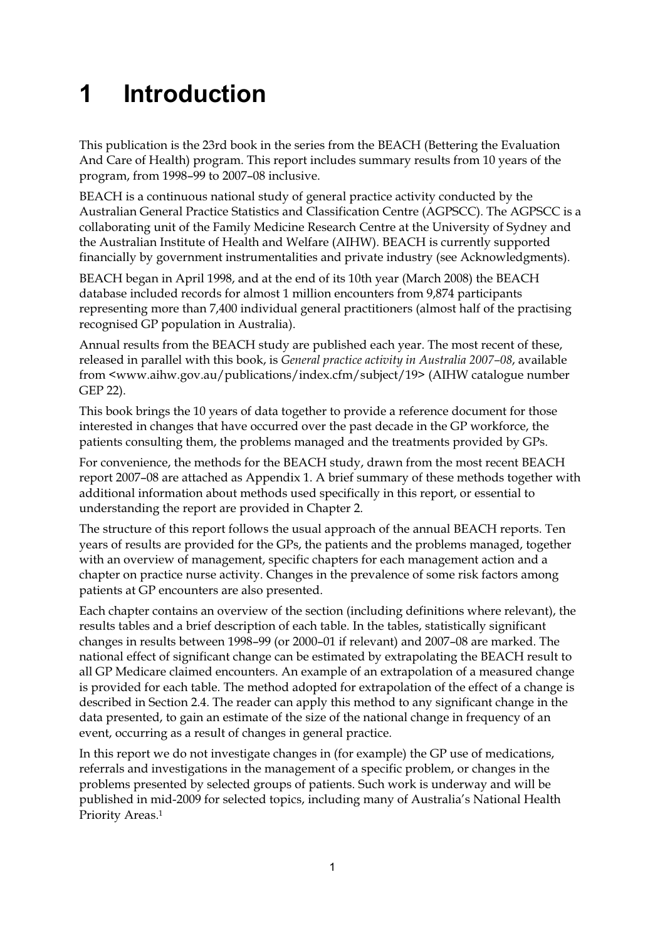## **1 Introduction**

This publication is the 23rd book in the series from the BEACH (Bettering the Evaluation And Care of Health) program. This report includes summary results from 10 years of the program, from 1998–99 to 2007–08 inclusive.

BEACH is a continuous national study of general practice activity conducted by the Australian General Practice Statistics and Classification Centre (AGPSCC). The AGPSCC is a collaborating unit of the Family Medicine Research Centre at the University of Sydney and the Australian Institute of Health and Welfare (AIHW). BEACH is currently supported financially by government instrumentalities and private industry (see Acknowledgments).

BEACH began in April 1998, and at the end of its 10th year (March 2008) the BEACH database included records for almost 1 million encounters from 9,874 participants representing more than 7,400 individual general practitioners (almost half of the practising recognised GP population in Australia).

Annual results from the BEACH study are published each year. The most recent of these, released in parallel with this book, is *General practice activity in Australia 2007–08*, available from <www.aihw.gov.au/publications/index.cfm/subject/19> (AIHW catalogue number GEP 22).

This book brings the 10 years of data together to provide a reference document for those interested in changes that have occurred over the past decade in the GP workforce, the patients consulting them, the problems managed and the treatments provided by GPs.

For convenience, the methods for the BEACH study, drawn from the most recent BEACH report 2007–08 are attached as Appendix 1. A brief summary of these methods together with additional information about methods used specifically in this report, or essential to understanding the report are provided in Chapter 2.

The structure of this report follows the usual approach of the annual BEACH reports. Ten years of results are provided for the GPs, the patients and the problems managed, together with an overview of management, specific chapters for each management action and a chapter on practice nurse activity. Changes in the prevalence of some risk factors among patients at GP encounters are also presented.

Each chapter contains an overview of the section (including definitions where relevant), the results tables and a brief description of each table. In the tables, statistically significant changes in results between 1998–99 (or 2000–01 if relevant) and 2007–08 are marked. The national effect of significant change can be estimated by extrapolating the BEACH result to all GP Medicare claimed encounters. An example of an extrapolation of a measured change is provided for each table. The method adopted for extrapolation of the effect of a change is described in Section 2.4. The reader can apply this method to any significant change in the data presented, to gain an estimate of the size of the national change in frequency of an event, occurring as a result of changes in general practice.

In this report we do not investigate changes in (for example) the GP use of medications, referrals and investigations in the management of a specific problem, or changes in the problems presented by selected groups of patients. Such work is underway and will be published in mid-2009 for selected topics, including many of Australia's National Health Priority Areas.1